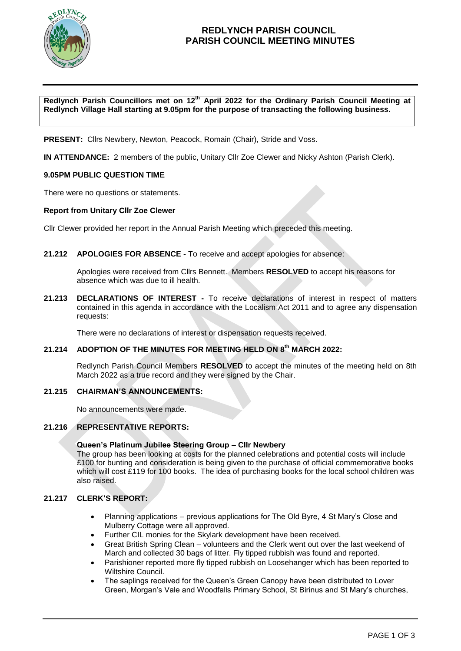

## **REDLYNCH PARISH COUNCIL PARISH COUNCIL MEETING MINUTES**

**Redlynch Parish Councillors met on 12th April 2022 for the Ordinary Parish Council Meeting at Redlynch Village Hall starting at 9.05pm for the purpose of transacting the following business.**

**PRESENT:** Cllrs Newbery, Newton, Peacock, Romain (Chair), Stride and Voss.

**IN ATTENDANCE:** 2 members of the public, Unitary Cllr Zoe Clewer and Nicky Ashton (Parish Clerk).

### **9.05PM PUBLIC QUESTION TIME**

There were no questions or statements.

#### **Report from Unitary Cllr Zoe Clewer**

Cllr Clewer provided her report in the Annual Parish Meeting which preceded this meeting.

#### **21.212 APOLOGIES FOR ABSENCE -** To receive and accept apologies for absence:

Apologies were received from Cllrs Bennett. Members **RESOLVED** to accept his reasons for absence which was due to ill health.

**21.213 DECLARATIONS OF INTEREST -** To receive declarations of interest in respect of matters contained in this agenda in accordance with the Localism Act 2011 and to agree any dispensation requests:

There were no declarations of interest or dispensation requests received.

### **21.214 ADOPTION OF THE MINUTES FOR MEETING HELD ON 8 th MARCH 2022:**

Redlynch Parish Council Members **RESOLVED** to accept the minutes of the meeting held on 8th March 2022 as a true record and they were signed by the Chair.

#### **21.215 CHAIRMAN'S ANNOUNCEMENTS:**

No announcements were made.

#### **21.216 REPRESENTATIVE REPORTS:**

#### **Queen's Platinum Jubilee Steering Group – Cllr Newbery**

The group has been looking at costs for the planned celebrations and potential costs will include £100 for bunting and consideration is being given to the purchase of official commemorative books which will cost £119 for 100 books. The idea of purchasing books for the local school children was also raised.

### **21.217 CLERK'S REPORT:**

- Planning applications previous applications for The Old Byre, 4 St Mary's Close and Mulberry Cottage were all approved.
- Further CIL monies for the Skylark development have been received.
- Great British Spring Clean volunteers and the Clerk went out over the last weekend of March and collected 30 bags of litter. Fly tipped rubbish was found and reported.
- Parishioner reported more fly tipped rubbish on Loosehanger which has been reported to Wiltshire Council.
- The saplings received for the Queen's Green Canopy have been distributed to Lover Green, Morgan's Vale and Woodfalls Primary School, St Birinus and St Mary's churches,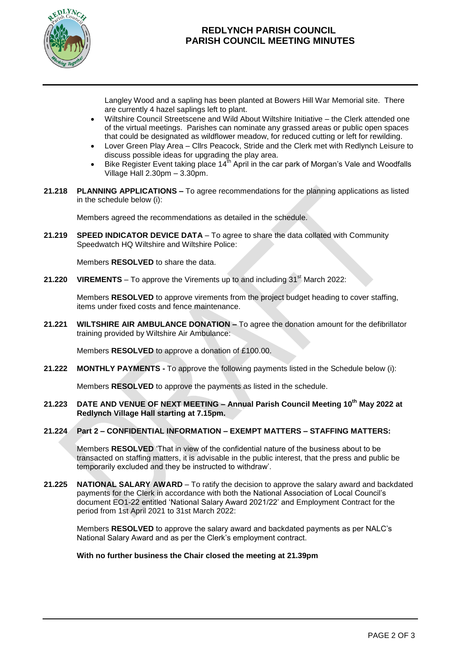

# **REDLYNCH PARISH COUNCIL PARISH COUNCIL MEETING MINUTES**

Langley Wood and a sapling has been planted at Bowers Hill War Memorial site. There are currently 4 hazel saplings left to plant.

- Wiltshire Council Streetscene and Wild About Wiltshire Initiative the Clerk attended one of the virtual meetings. Parishes can nominate any grassed areas or public open spaces that could be designated as wildflower meadow, for reduced cutting or left for rewilding.
- Lover Green Play Area Cllrs Peacock, Stride and the Clerk met with Redlynch Leisure to discuss possible ideas for upgrading the play area.
- Bike Register Event taking place  $14<sup>th</sup>$  April in the car park of Morgan's Vale and Woodfalls Village Hall 2.30pm – 3.30pm.
- **21.218 PLANNING APPLICATIONS –** To agree recommendations for the planning applications as listed in the schedule below (i):

Members agreed the recommendations as detailed in the schedule.

**21.219 SPEED INDICATOR DEVICE DATA** – To agree to share the data collated with Community Speedwatch HQ Wiltshire and Wiltshire Police:

Members **RESOLVED** to share the data.

**21.220 • VIREMENTS** – To approve the Virements up to and including  $31<sup>st</sup>$  March 2022:

Members **RESOLVED** to approve virements from the project budget heading to cover staffing, items under fixed costs and fence maintenance.

**21.221 WILTSHIRE AIR AMBULANCE DONATION –** To agree the donation amount for the defibrillator training provided by Wiltshire Air Ambulance:

Members **RESOLVED** to approve a donation of £100.00.

**21.222 MONTHLY PAYMENTS -** To approve the following payments listed in the Schedule below (i):

Members **RESOLVED** to approve the payments as listed in the schedule.

**21.223 DATE AND VENUE OF NEXT MEETING – Annual Parish Council Meeting 10 th May 2022 at Redlynch Village Hall starting at 7.15pm.**

### **21.224 Part 2 – CONFIDENTIAL INFORMATION – EXEMPT MATTERS – STAFFING MATTERS:**

Members **RESOLVED** 'That in view of the confidential nature of the business about to be transacted on staffing matters, it is advisable in the public interest, that the press and public be temporarily excluded and they be instructed to withdraw'.

**21.225 NATIONAL SALARY AWARD** – To ratify the decision to approve the salary award and backdated payments for the Clerk in accordance with both the National Association of Local Council's document EO1-22 entitled 'National Salary Award 2021/22' and Employment Contract for the period from 1st April 2021 to 31st March 2022:

Members **RESOLVED** to approve the salary award and backdated payments as per NALC's National Salary Award and as per the Clerk's employment contract.

#### **With no further business the Chair closed the meeting at 21.39pm**